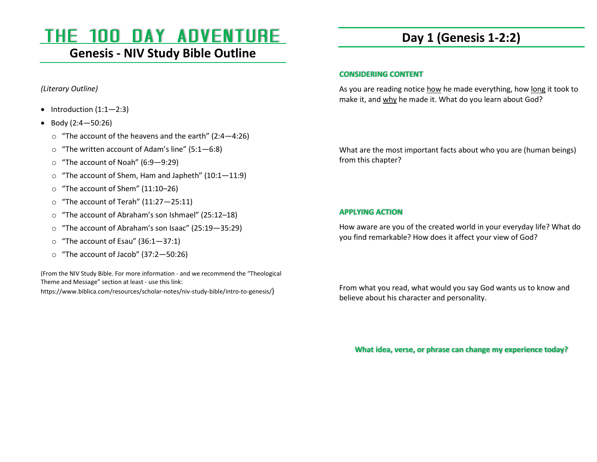# THE 100 DAY ADVENTURE

### **Genesis - NIV Study Bible Outline**

*(Literary Outline)* 

- Introduction  $(1:1-2:3)$
- Body (2:4—50:26)
	- $\circ$  "The account of the heavens and the earth" (2:4–4:26)
	- o"The written account of Adam's line" (5:1—6:8)
	- o"The account of Noah" (6:9—9:29)
	- o"The account of Shem, Ham and Japheth" (10:1—11:9)
	- o"The account of Shem" (11:10–26)
	- o"The account of Terah" (11:27—25:11)
	- o"The account of Abraham's son Ishmael" (25:12–18)
	- o"The account of Abraham's son Isaac" (25:19—35:29)
	- o"The account of Esau" (36:1—37:1)
	- o"The account of Jacob" (37:2—50:26)

(From the NIV Study Bible. For more information - and we recommend the "Theological Theme and Message" section at least - use this link:

https://www.biblica.com/resources/scholar-notes/niv-study-bible/intro-to-genesis/)

# **Day 1 (Genesis 1-2:2)**

### **CONSIDERING CONTENT**

As you are reading notice how he made everything, how long it took to make it, and why he made it. What do you learn about God?

What are the most important facts about who you are (human beings) from this chapter?

### **APPLYING ACTION**

How aware are you of the created world in your everyday life? What do you find remarkable? How does it affect your view of God?

From what you read, what would you say God wants us to know and believe about his character and personality.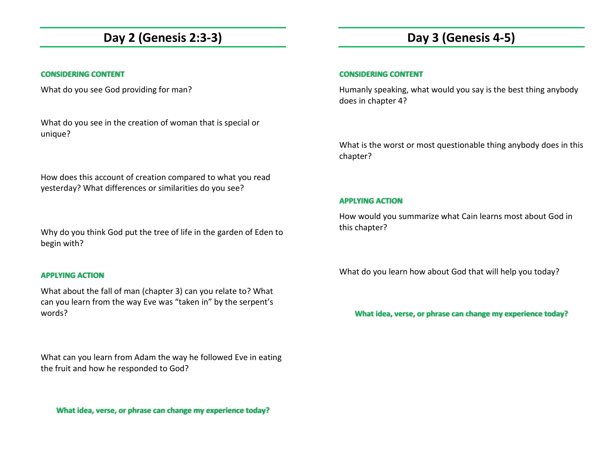### **Day 2 (Genesis 2:3-3)**

### **CONSIDERING CONTENT**

What do you see God providing for man?

What do you see in the creation of woman that is special or unique?

How does this account of creation compared to what you read yesterday? What differences or similarities do you see?

Why do you think God put the tree of life in the garden of Eden to begin with?

#### **APPLYING ACTION**

What about the fall of man (chapter 3) can you relate to? What can you learn from the way Eve was "taken in" by the serpent's words?

What can you learn from Adam the way he followed Eve in eating the fruit and how he responded to God?

**What idea, verse, or phrase can change my experience today?** 

## **Day 3 (Genesis 4-5)**

#### **CONSIDERING CONTENT**

Humanly speaking, what would you say is the best thing anybody does in chapter 4?

What is the worst or most questionable thing anybody does in this chapter?

#### **APPLYING ACTION**

How would you summarize what Cain learns most about God in this chapter?

What do you learn how about God that will help you today?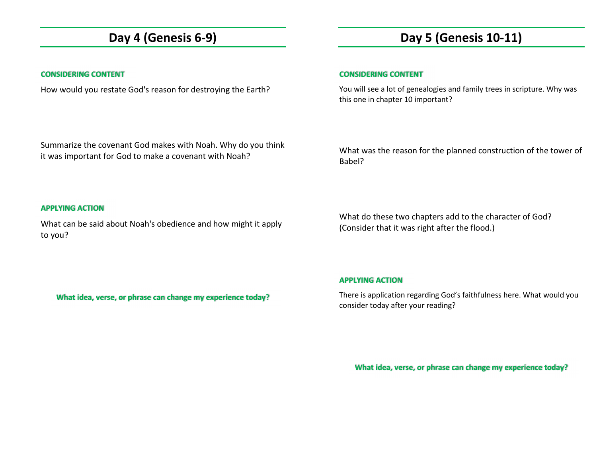### **Day 4 (Genesis 6-9)**

### **CONSIDERING CONTENT**

How would you restate God's reason for destroying the Earth?

# **Day 5 (Genesis 10-11)**

### **CONSIDERING CONTENT**

You will see a lot of genealogies and family trees in scripture. Why was this one in chapter 10 important?

Summarize the covenant God makes with Noah. Why do you think it was important for God to make a covenant with Noah?

What was the reason for the planned construction of the tower of Babel?

#### **APPLYING ACTION**

What can be said about Noah's obedience and how might it apply to you?

What do these two chapters add to the character of God? (Consider that it was right after the flood.)

### **APPLYING ACTION**

There is application regarding God's faithfulness here. What would you consider today after your reading?

**What idea, verse, or phrase can change my experience today?**